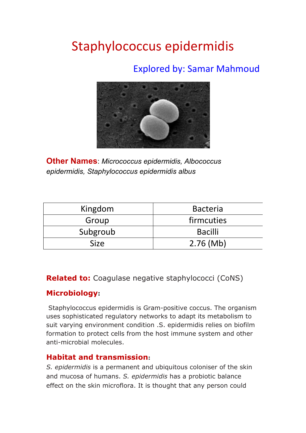# Staphylococcus epidermidis

### Explored by: Samar Mahmoud



**Other Names**: *Micrococcus epidermidis, Albococcus epidermidis, Staphylococcus epidermidis albus*

| Kingdom     | <b>Bacteria</b> |
|-------------|-----------------|
| Group       | firmcuties      |
| Subgroub    | <b>Bacilli</b>  |
| <b>Size</b> | $2.76 \,(Mb)$   |

**Related to:** Coagulase negative staphylococci (CoNS)

#### **Microbiology:**

Staphylococcus epidermidis is Gram-positive coccus. The organism uses sophisticated regulatory networks to adapt its metabolism to suit varying environment condition .S. epidermidis relies on biofilm formation to protect cells from the host immune system and other anti-microbial molecules.

#### **Habitat and transmission:**

*S. epidermidis* is a permanent and ubiquitous coloniser of the skin and mucosa of humans. *S. epidermidis* has a probiotic balance effect on the skin microflora. It is thought that any person could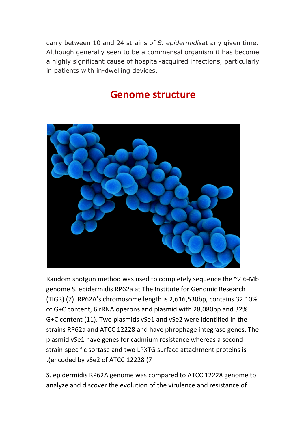carry between 10 and 24 strains of *S. epidermidis*at any given time. Although generally seen to be a commensal organism it has become a highly significant cause of hospital-acquired infections, particularly in patients with in-dwelling devices.

### **Genome structure**



Random shotgun method was used to completely sequence the  $\sim$ 2.6-Mb genome S. epidermidis RP62a at The Institute for Genomic Research (TIGR) (7). RP62A's chromosome length is 2,616,530bp, contains 32.10% of G+C content, 6 rRNA operons and plasmid with 28,080bp and 32% G+C content (11). Two plasmids vSe1 and vSe2 were identified in the strains RP62a and ATCC 12228 and have phrophage integrase genes. The plasmid vSe1 have genes for cadmium resistance whereas a second strain-specific sortase and two LPXTG surface attachment proteins is .(encoded by vSe2 of ATCC 12228 (7

S. epidermidis RP62A genome was compared to ATCC 12228 genome to analyze and discover the evolution of the virulence and resistance of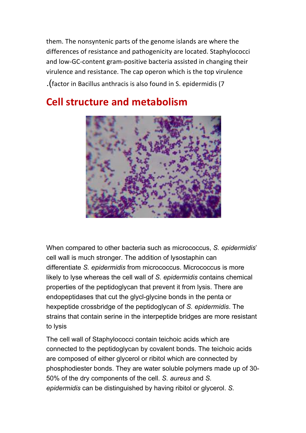them. The nonsyntenic parts of the genome islands are where the differences of resistance and pathogenicity are located. Staphylococci and low-GC-content gram-positive bacteria assisted in changing their virulence and resistance. The cap operon which is the top virulence .(factor in Bacillus anthracis is also found in S. epidermidis (7

#### **Cell structure and metabolism**



When compared to other bacteria such as micrococcus, *S. epidermidis*' cell wall is much stronger. The addition of lysostaphin can differentiate *S. epidermidis* from micrococcus. Micrococcus is more likely to lyse whereas the cell wall of *S. epidermidis* contains chemical properties of the peptidoglycan that prevent it from lysis. There are endopeptidases that cut the glycl-glycine bonds in the penta or hexpeptide crossbridge of the peptidoglycan of *S. epidermidis*. The strains that contain serine in the interpeptide bridges are more resistant to lysis

The cell wall of Staphylococci contain teichoic acids which are connected to the peptidoglycan by covalent bonds. The teichoic acids are composed of either glycerol or ribitol which are connected by phosphodiester bonds. They are water soluble polymers made up of 30- 50% of the dry components of the cell. *S. aureus* and *S. epidermidis* can be distinguished by having ribitol or glycerol. *S.*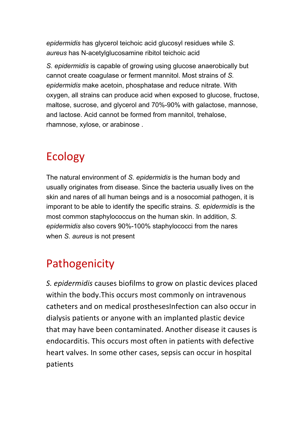*epidermidis* has glycerol teichoic acid glucosyl residues while *S. aureus* has N-acetylglucosamine ribitol teichoic acid

*S. epidermidis* is capable of growing using glucose anaerobically but cannot create coagulase or ferment mannitol. Most strains of *S. epidermidis* make acetoin, phosphatase and reduce nitrate. With oxygen, all strains can produce acid when exposed to glucose, fructose, maltose, sucrose, and glycerol and 70%-90% with galactose, mannose, and lactose. Acid cannot be formed from mannitol, trehalose, rhamnose, xylose, or arabinose .

## Ecology

The natural environment of *S. epidermidis* is the human body and usually originates from disease. Since the bacteria usually lives on the skin and nares of all human beings and is a nosocomial pathogen, it is imporant to be able to identify the specific strains. *S. epidermidis* is the most common staphylococcus on the human skin. In addition, *S. epidermidis* also covers 90%-100% staphylococci from the nares when *S. aureus* is not present

## Pathogenicity

*S. epidermidis* causes biofilms to grow on plastic devices placed within the body. This occurs most commonly on intravenous catheters and on medical prosthesesInfection can also occur in dialysis patients or anyone with an implanted plastic device that may have been contaminated. Another disease it causes is endocarditis. This occurs most often in patients with defective heart valves. In some other cases, sepsis can occur in hospital patients